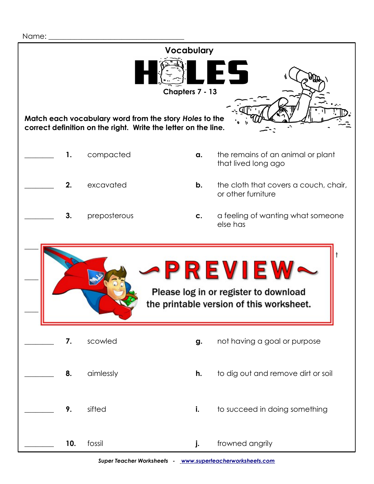## Name:  **Vocabulary Chapters 7 - 13 Match each vocabulary word from the story** *Holes* **to the correct definition on the right. Write the letter on the line. 1.** compacted **a.** the remains of an animal or plant that lived long ago **2.** excavated **b.** the cloth that covers a couch, chair, or other furniture **3.** preposterous **c.** a feeling of wanting what someone else has  **\_\_\_\_\_\_\_\_ 4.** enviously **d.** to have gone through something carefully in order to find an object to find an object to find an object to find an object to find an object to  **\_\_\_\_\_\_\_\_ 5.** accomplish **e.** very foolish or silly Please log in or register to download the printable version of this worksheet. **7.** scowled **g.** not having a goal or purpose **8.** aimlessly **h.** to dig out and remove dirt or soil **9.** sifted **i.** to succeed in doing something \_\_\_\_\_\_\_\_ **10.** fossil **j.** frowned angrily